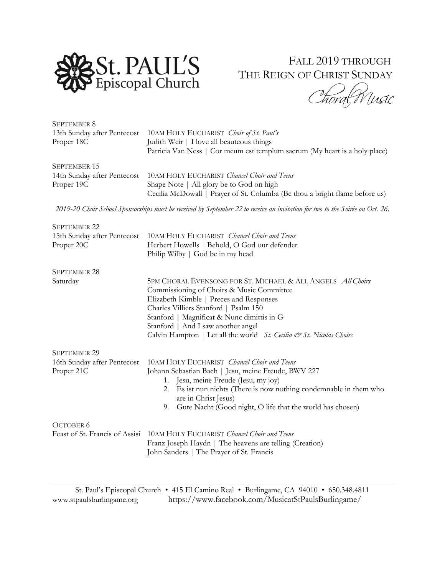

## FALL 2019 THROUGH THE REIGN OF CHRIST SUNDAY

Thora Wusic

| <b>SEPTEMBER 8</b>          |                                                                             |
|-----------------------------|-----------------------------------------------------------------------------|
| 13th Sunday after Pentecost | 10AM HOLY EUCHARIST Choir of St. Paul's                                     |
| Proper 18C                  | Judith Weir   I love all beauteous things                                   |
|                             | Patricia Van Ness   Cor meum est templum sacrum (My heart is a holy place)  |
| SEPTEMBER 15                |                                                                             |
| 14th Sunday after Pentecost | 10AM HOLY EUCHARIST Chancel Choir and Teens                                 |
| Proper 19C                  | Shape Note   All glory be to God on high                                    |
|                             | Cecilia McDowall   Prayer of St. Columba (Be thou a bright flame before us) |

*2019-20 Choir School Sponsorships must be received by September 22 to receive an invitation for two to the Soirée on Oct. 26.*

| <b>SEPTEMBER 22</b>         |                                                                                                                                                                                                                                                                                  |
|-----------------------------|----------------------------------------------------------------------------------------------------------------------------------------------------------------------------------------------------------------------------------------------------------------------------------|
| 15th Sunday after Pentecost | 10AM HOLY EUCHARIST Chancel Choir and Teens                                                                                                                                                                                                                                      |
| Proper 20C                  | Herbert Howells   Behold, O God our defender                                                                                                                                                                                                                                     |
|                             | Philip Wilby   God be in my head                                                                                                                                                                                                                                                 |
| <b>SEPTEMBER 28</b>         |                                                                                                                                                                                                                                                                                  |
| Saturday                    | 5PM CHORAL EVENSONG FOR ST. MICHAEL & ALL ANGELS All Choirs<br>Commissioning of Choirs & Music Committee<br>Elizabeth Kimble   Preces and Responses<br>Charles Villiers Stanford   Psalm 150<br>Stanford   Magnificat & Nunc dimittis in G<br>Stanford   And I saw another angel |
|                             | Calvin Hampton   Let all the world St. Cecilia & St. Nicolas Choirs                                                                                                                                                                                                              |
| <b>SEPTEMBER 29</b>         |                                                                                                                                                                                                                                                                                  |
| 16th Sunday after Pentecost | 10AM HOLY EUCHARIST Chancel Choir and Teens                                                                                                                                                                                                                                      |
| Proper 21C                  | Johann Sebastian Bach   Jesu, meine Freude, BWV 227                                                                                                                                                                                                                              |
|                             | 1. Jesu, meine Freude (Jesu, my joy)                                                                                                                                                                                                                                             |
|                             | 2. Es ist nun nichts (There is now nothing condemnable in them who<br>are in Christ Jesus)                                                                                                                                                                                       |
|                             | 9. Gute Nacht (Good night, O life that the world has chosen)                                                                                                                                                                                                                     |
| OCTOBER 6                   | Feast of St. Francis of Assisi 10AM HOLY EUCHARIST Chancel Choir and Teens<br>Franz Joseph Haydn   The heavens are telling (Creation)                                                                                                                                            |
|                             | John Sanders   The Prayer of St. Francis                                                                                                                                                                                                                                         |

St. Paul's Episcopal Church • 415 El Camino Real • Burlingame, CA 94010 • 650.348.4811 [www.stpaulsburlingame.org](http://www.stpaulsburlingame.org/) <https://www.facebook.com/MusicatStPaulsBurlingame/>